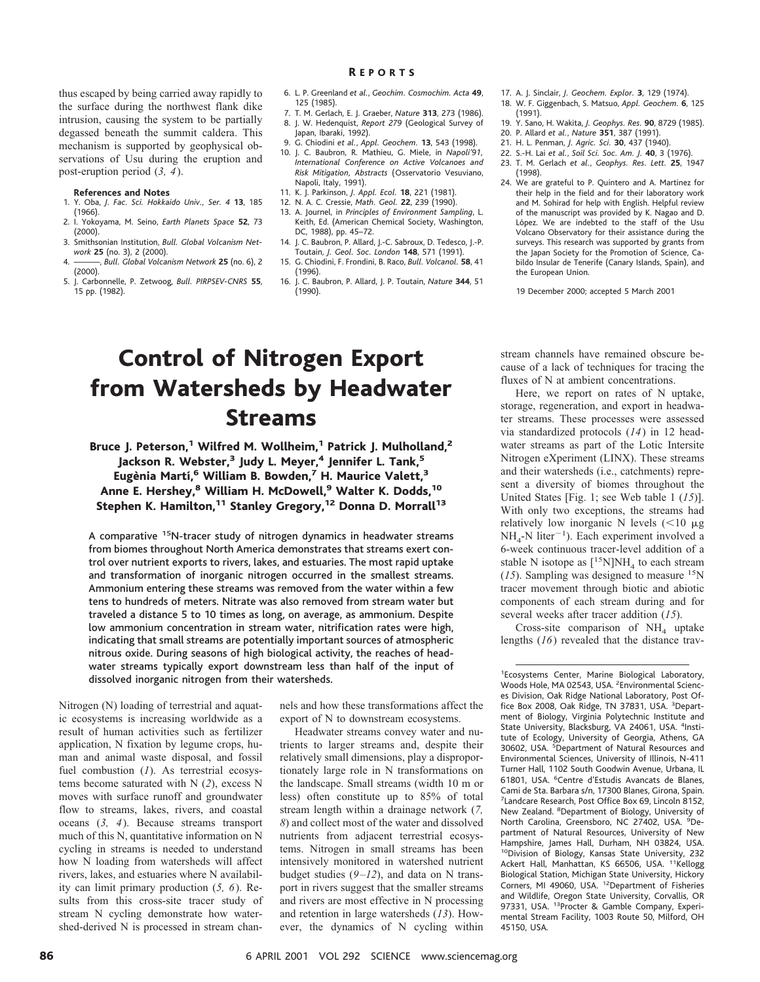thus escaped by being carried away rapidly to the surface during the northwest flank dike intrusion, causing the system to be partially degassed beneath the summit caldera. This mechanism is supported by geophysical observations of Usu during the eruption and post-eruption period (*3, 4*).

#### **References and Notes**

- 1. Y. Oba, *J. Fac. Sci. Hokkaido Univ., Ser. 4* **13**, 185 (1966).
- 2. I. Yokoyama, M. Seino, *Earth Planets Space* **52**, 73 (2000). 3. Smithsonian Institution, *Bull. Global Volcanism Net-*
- *work* **25** (no. 3), 2 (2000). 4. ———, *Bull. Global Volcanism Network* **25** (no. 6), 2
- (2000). 5. J. Carbonnelle, P. Zetwoog, *Bull. PIRPSEV-CNRS* **55**,
- 15 pp. (1982).
- 6. L. P. Greenland *et al.*, *Geochim. Cosmochim. Acta* **49**, 125 (1985).
- 7. T. M. Gerlach, E. J. Graeber, *Nature* **313**, 273 (1986). 8. J. W. Hedenquist, *Report 279* (Geological Survey of Japan, Ibaraki, 1992).
- 9. G. Chiodini *et al.*, *Appl. Geochem.* **13**, 543 (1998). 10. J. C. Baubron, R. Mathieu, G. Miele, in *Napoli'91,*
- *International Conference on Active Volcanoes and Risk Mitigation, Abstracts* (Osservatorio Vesuviano, Napoli, Italy, 1991).
- 11. K. J. Parkinson, *J. Appl. Ecol.* **18**, 221 (1981).
- 12. N. A. C. Cressie, *Math. Geol.* **22**, 239 (1990).
- 13. A. Journel, in *Principles of Environment Sampling*, L. Keith, Ed. (American Chemical Society, Washington, DC, 1988), pp. 45–72.
- 14. J. C. Baubron, P. Allard, J.-C. Sabroux, D. Tedesco, J.-P. Toutain, *J. Geol. Soc. London* **148**, 571 (1991). 15. G. Chiodini, F. Frondini, B. Raco, *Bull. Volcanol.* **58**, 41
- (1996). 16. J. C. Baubron, P. Allard, J. P. Toutain, *Nature* **344**, 51
- (1990).
- 17. A. J. Sinclair, *J. Geochem. Explor.* **3**, 129 (1974).
- 18. W. F. Giggenbach, S. Matsuo, *Appl. Geochem.* **6**, 125 (1991).
- 19. Y. Sano, H. Wakita, *J. Geophys. Res.* **90**, 8729 (1985).
- 20. P. Allard *et al.*, *Nature* **351**, 387 (1991).
- 21. H. L. Penman, *J. Agric. Sci.* **30**, 437 (1940).
- 22. S.-H. Lai *et al.*, *Soil Sci. Soc. Am. J.* **40**, 3 (1976). 23. T. M. Gerlach *et al.*, *Geophys. Res. Lett.* **25**, 1947 (1998).
- 24. We are grateful to P. Quintero and A. Martinez for their help in the field and for their laboratory work and M. Sohirad for help with English. Helpful review of the manuscript was provided by K. Nagao and D. López. We are indebted to the staff of the Usu Volcano Observatory for their assistance during the surveys. This research was supported by grants from the Japan Society for the Promotion of Science, Cabildo Insular de Tenerife (Canary Islands, Spain), and the European Union.

19 December 2000; accepted 5 March 2001

# Control of Nitrogen Export from Watersheds by Headwater Streams

Bruce J. Peterson,<sup>1</sup> Wilfred M. Wollheim,<sup>1</sup> Patrick J. Mulholland,<sup>2</sup> Jackson R. Webster,<sup>3</sup> Judy L. Meyer,<sup>4</sup> Jennifer L. Tank,<sup>5</sup> Eugènia Martí,<sup>6</sup> William B. Bowden,<sup>7</sup> H. Maurice Valett,<sup>3</sup> Anne E. Hershey,<sup>8</sup> William H. McDowell,<sup>9</sup> Walter K. Dodds,<sup>10</sup> Stephen K. Hamilton,<sup>11</sup> Stanley Gregory,<sup>12</sup> Donna D. Morrall<sup>13</sup>

A comparative <sup>15</sup>N-tracer study of nitrogen dynamics in headwater streams from biomes throughout North America demonstrates that streams exert control over nutrient exports to rivers, lakes, and estuaries. The most rapid uptake and transformation of inorganic nitrogen occurred in the smallest streams. Ammonium entering these streams was removed from the water within a few tens to hundreds of meters. Nitrate was also removed from stream water but traveled a distance 5 to 10 times as long, on average, as ammonium. Despite low ammonium concentration in stream water, nitrification rates were high, indicating that small streams are potentially important sources of atmospheric nitrous oxide. During seasons of high biological activity, the reaches of headwater streams typically export downstream less than half of the input of dissolved inorganic nitrogen from their watersheds.

Nitrogen (N) loading of terrestrial and aquatic ecosystems is increasing worldwide as a result of human activities such as fertilizer application, N fixation by legume crops, human and animal waste disposal, and fossil fuel combustion (*1*). As terrestrial ecosystems become saturated with N (*2*), excess N moves with surface runoff and groundwater flow to streams, lakes, rivers, and coastal oceans (*3, 4*). Because streams transport much of this N, quantitative information on N cycling in streams is needed to understand how N loading from watersheds will affect rivers, lakes, and estuaries where N availability can limit primary production (*5, 6*). Results from this cross-site tracer study of stream N cycling demonstrate how watershed-derived N is processed in stream channels and how these transformations affect the export of N to downstream ecosystems.

Headwater streams convey water and nutrients to larger streams and, despite their relatively small dimensions, play a disproportionately large role in N transformations on the landscape. Small streams (width 10 m or less) often constitute up to 85% of total stream length within a drainage network (*7, 8*) and collect most of the water and dissolved nutrients from adjacent terrestrial ecosystems. Nitrogen in small streams has been intensively monitored in watershed nutrient budget studies (*9–12*), and data on N transport in rivers suggest that the smaller streams and rivers are most effective in N processing and retention in large watersheds (*13*). However, the dynamics of N cycling within

stream channels have remained obscure because of a lack of techniques for tracing the fluxes of N at ambient concentrations.

Here, we report on rates of N uptake, storage, regeneration, and export in headwater streams. These processes were assessed via standardized protocols (*14*) in 12 headwater streams as part of the Lotic Intersite Nitrogen eXperiment (LINX). These streams and their watersheds (i.e., catchments) represent a diversity of biomes throughout the United States [Fig. 1; see Web table 1 (*15*)]. With only two exceptions, the streams had relatively low inorganic N levels  $(<10 \mu g$  $NH<sub>4</sub>-N liter<sup>-1</sup>$ ). Each experiment involved a 6-week continuous tracer-level addition of a stable N isotope as  $[^{15}N]NH_4$  to each stream  $(15)$ . Sampling was designed to measure <sup>15</sup>N tracer movement through biotic and abiotic components of each stream during and for several weeks after tracer addition (*15*).

Cross-site comparison of  $NH<sub>4</sub>$  uptake lengths (*16*) revealed that the distance trav-

<sup>1</sup> Ecosystems Center, Marine Biological Laboratory, Woods Hole, MA 02543, USA. <sup>2</sup>Environmental Sciences Division, Oak Ridge National Laboratory, Post Office Box 2008, Oak Ridge, TN 37831, USA. <sup>3</sup>Department of Biology, Virginia Polytechnic Institute and State University, Blacksburg, VA 24061, USA. <sup>4</sup>Institute of Ecology, University of Georgia, Athens, GA 30602, USA. <sup>5</sup>Department of Natural Resources and Environmental Sciences, University of Illinois, N-411 Turner Hall, 1102 South Goodwin Avenue, Urbana, IL 61801, USA. <sup>6</sup>Centre d'Estudis Avancats de Blanes, Cami de Sta. Barbara s/n, 17300 Blanes, Girona, Spain. 7 Landcare Research, Post Office Box 69, Lincoln 8152, New Zealand. <sup>8</sup>Department of Biology, University of North Carolina, Greensboro, NC 27402, USA. <sup>9</sup>Department of Natural Resources, University of New Hampshire, James Hall, Durham, NH 03824, USA. <sup>10</sup>Division of Biology, Kansas State University, 232 Ackert Hall, Manhattan, KS 66506, USA. <sup>11</sup>Kellogg Biological Station, Michigan State University, Hickory Corners, MI 49060, USA. <sup>12</sup>Department of Fisheries and Wildlife, Oregon State University, Corvallis, OR 97331, USA. <sup>13</sup>Procter & Gamble Company, Experimental Stream Facility, 1003 Route 50, Milford, OH 45150, USA.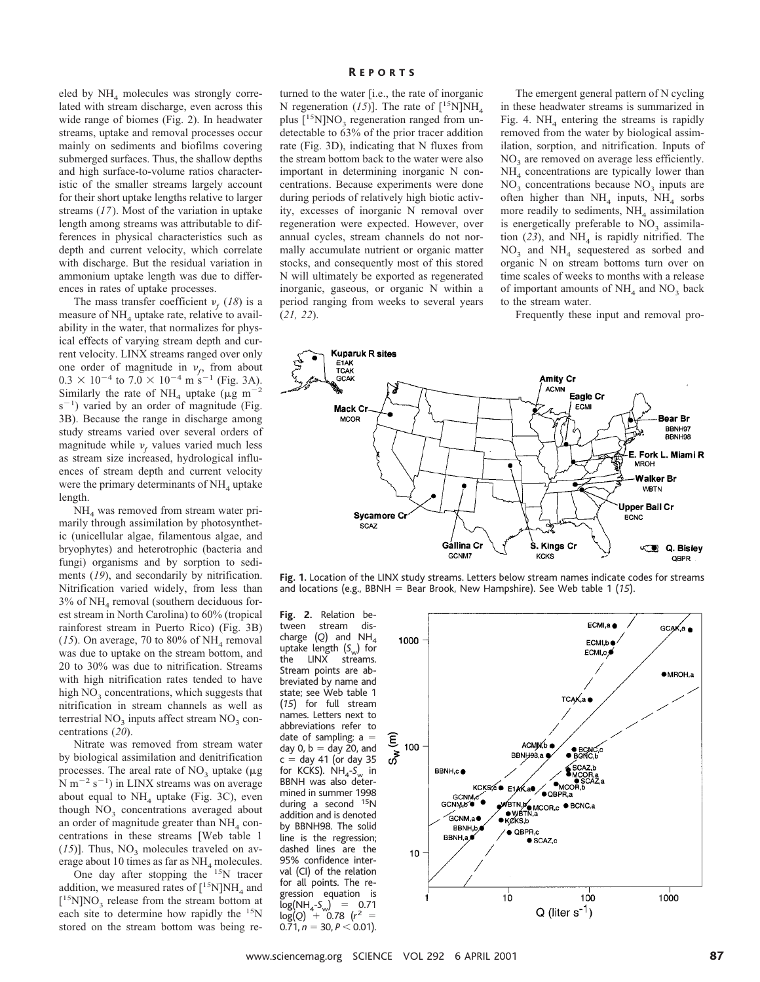eled by  $NH<sub>4</sub>$  molecules was strongly correlated with stream discharge, even across this wide range of biomes (Fig. 2). In headwater streams, uptake and removal processes occur mainly on sediments and biofilms covering submerged surfaces. Thus, the shallow depths and high surface-to-volume ratios characteristic of the smaller streams largely account for their short uptake lengths relative to larger streams (*17*). Most of the variation in uptake length among streams was attributable to differences in physical characteristics such as depth and current velocity, which correlate with discharge. But the residual variation in ammonium uptake length was due to differences in rates of uptake processes.

The mass transfer coefficient  $v_f$  (18) is a measure of  $NH<sub>4</sub>$  uptake rate, relative to availability in the water, that normalizes for physical effects of varying stream depth and current velocity. LINX streams ranged over only one order of magnitude in  $v_f$ , from about  $0.3 \times 10^{-4}$  to  $7.0 \times 10^{-4}$  m s<sup>-1</sup> (Fig. 3A). Similarly the rate of NH<sub>4</sub> uptake ( $\mu$ g m<sup>-1</sup>  $s^{-1}$ ) varied by an order of magnitude (Fig. 3B). Because the range in discharge among study streams varied over several orders of magnitude while  $v_f$  values varied much less as stream size increased, hydrological influences of stream depth and current velocity were the primary determinants of  $NH<sub>4</sub>$  uptake length.

NH<sub>4</sub> was removed from stream water primarily through assimilation by photosynthetic (unicellular algae, filamentous algae, and bryophytes) and heterotrophic (bacteria and fungi) organisms and by sorption to sediments (*19*), and secondarily by nitrification. Nitrification varied widely, from less than  $3\%$  of NH<sub>4</sub> removal (southern deciduous forest stream in North Carolina) to 60% (tropical rainforest stream in Puerto Rico) (Fig. 3B) ( $15$ ). On average, 70 to 80% of NH<sub>4</sub> removal was due to uptake on the stream bottom, and 20 to 30% was due to nitrification. Streams with high nitrification rates tended to have high  $NO<sub>3</sub>$  concentrations, which suggests that nitrification in stream channels as well as terrestrial  $NO<sub>3</sub>$  inputs affect stream  $NO<sub>3</sub>$  concentrations (*20*).

Nitrate was removed from stream water by biological assimilation and denitrification processes. The areal rate of  $NO<sub>3</sub>$  uptake ( $\mu$ g  $N m^{-2} s^{-1}$ ) in LINX streams was on average about equal to  $NH<sub>4</sub>$  uptake (Fig. 3C), even though  $NO<sub>3</sub>$  concentrations averaged about an order of magnitude greater than  $NH<sub>4</sub>$  concentrations in these streams [Web table 1  $(15)$ ]. Thus, NO<sub>3</sub> molecules traveled on average about 10 times as far as  $NH<sub>4</sub>$  molecules.

One day after stopping the <sup>15</sup>N tracer addition, we measured rates of  $[^{15}N]NH<sub>4</sub>$  and [<sup>15</sup>N]NO<sub>3</sub> release from the stream bottom at each site to determine how rapidly the <sup>15</sup>N stored on the stream bottom was being re-

### R EPORTS

turned to the water [i.e., the rate of inorganic N regeneration (15)]. The rate of  $[^{15}N]NH_{4}$ plus  $[15N]NO<sub>3</sub>$  regeneration ranged from undetectable to 63% of the prior tracer addition rate (Fig. 3D), indicating that N fluxes from the stream bottom back to the water were also important in determining inorganic N concentrations. Because experiments were done during periods of relatively high biotic activity, excesses of inorganic N removal over regeneration were expected. However, over annual cycles, stream channels do not normally accumulate nutrient or organic matter stocks, and consequently most of this stored N will ultimately be exported as regenerated inorganic, gaseous, or organic N within a period ranging from weeks to several years (*21, 22*).

The emergent general pattern of N cycling in these headwater streams is summarized in Fig. 4.  $NH<sub>4</sub>$  entering the streams is rapidly removed from the water by biological assimilation, sorption, and nitrification. Inputs of NO<sub>3</sub> are removed on average less efficiently.  $NH<sub>4</sub>$  concentrations are typically lower than  $NO<sub>3</sub>$  concentrations because  $NO<sub>3</sub>$  inputs are often higher than  $NH_4$  inputs,  $NH_4$  sorbs more readily to sediments,  $NH<sub>4</sub>$  assimilation is energetically preferable to  $NO<sub>3</sub>$  assimilation  $(23)$ , and NH<sub>4</sub> is rapidly nitrified. The  $NO<sub>3</sub>$  and  $NH<sub>4</sub>$  sequestered as sorbed and organic N on stream bottoms turn over on time scales of weeks to months with a release of important amounts of  $NH<sub>4</sub>$  and  $NO<sub>3</sub>$  back to the stream water.

Frequently these input and removal pro-



**Fig. 1.** Location of the LINX study streams. Letters below stream names indicate codes for streams and locations (e.g., BBNH  $=$  Bear Brook, New Hampshire). See Web table 1 (15).

**Fig. 2.** Relation between stream discharge  $(Q)$  and NH<sub>4</sub> uptake length (S<sub>w</sub>) for<br>the LINX streams. streams. Stream points are abbreviated by name and state; see Web table 1 (*15*) for full stream names. Letters next to abbreviations refer to date of sampling:  $a =$ day 0,  $b =$  day 20, and  $c =$  day 41 (or day 35 for KCKS). NH<sub>4</sub>-S<sub>w</sub> in BBNH was also determined in summer 1998 during a second <sup>15</sup>N addition and is denoted by BBNH98. The solid line is the regression; dashed lines are the 95% confidence interval (CI) of the relation for all points. The regression equation is log(NH<sub>4</sub>-S<sub>w</sub>) = 0.71<br>log(Q) + 0.78 (r<sup>2</sup> =  $0.71, n = 30, P < 0.01$ .

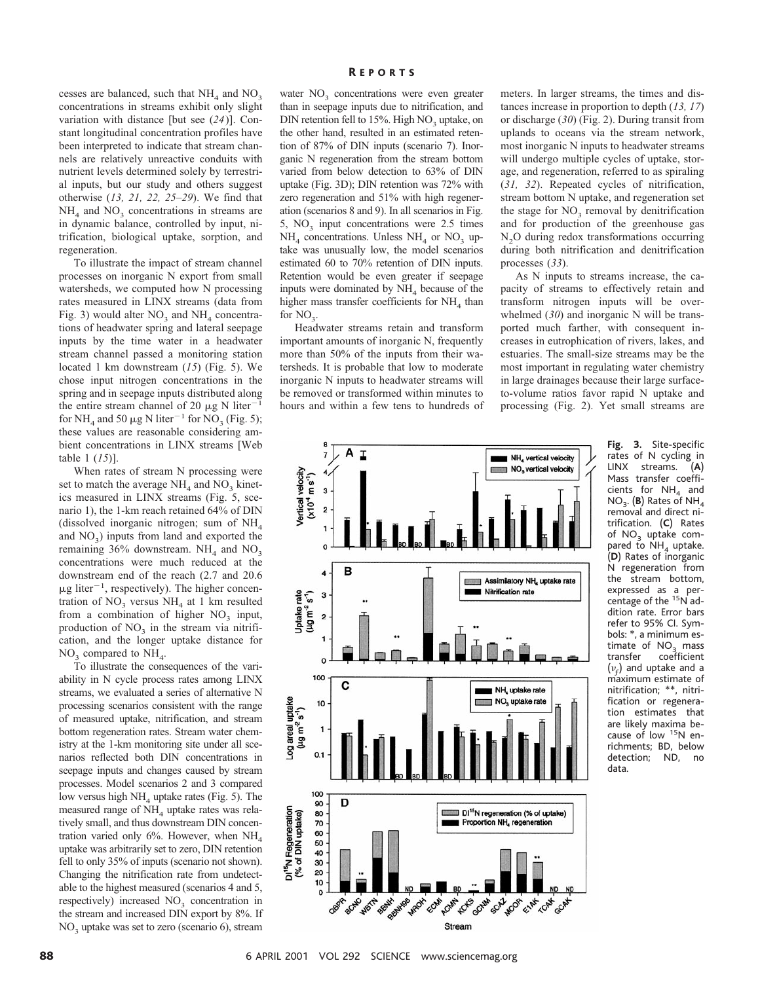cesses are balanced, such that  $NH<sub>4</sub>$  and  $NO<sub>3</sub>$ concentrations in streams exhibit only slight variation with distance [but see (*24*)]. Constant longitudinal concentration profiles have been interpreted to indicate that stream channels are relatively unreactive conduits with nutrient levels determined solely by terrestrial inputs, but our study and others suggest otherwise (*13, 21, 22, 25–29*). We find that  $NH<sub>4</sub>$  and  $NO<sub>3</sub>$  concentrations in streams are in dynamic balance, controlled by input, nitrification, biological uptake, sorption, and regeneration.

To illustrate the impact of stream channel processes on inorganic N export from small watersheds, we computed how N processing rates measured in LINX streams (data from Fig. 3) would alter  $NO_3$  and  $NH_4$  concentrations of headwater spring and lateral seepage inputs by the time water in a headwater stream channel passed a monitoring station located 1 km downstream (*15*) (Fig. 5). We chose input nitrogen concentrations in the spring and in seepage inputs distributed along the entire stream channel of 20  $\mu$ g N liter<sup>-1</sup> for NH<sub>4</sub> and 50  $\mu$ g N liter<sup>-1</sup> for NO<sub>3</sub> (Fig. 5); these values are reasonable considering ambient concentrations in LINX streams [Web table 1 (*15*)].

When rates of stream N processing were set to match the average  $NH<sub>4</sub>$  and  $NO<sub>3</sub>$  kinetics measured in LINX streams (Fig. 5, scenario 1), the 1-km reach retained 64% of DIN (dissolved inorganic nitrogen; sum of  $NH<sub>4</sub>$ and  $NO<sub>3</sub>$ ) inputs from land and exported the remaining 36% downstream.  $NH<sub>4</sub>$  and  $NO<sub>3</sub>$ concentrations were much reduced at the downstream end of the reach (2.7 and 20.6  $\mu$ g liter<sup>-1</sup>, respectively). The higher concentration of  $NO_3$  versus  $NH_4$  at 1 km resulted from a combination of higher  $NO<sub>3</sub>$  input, production of  $NO<sub>3</sub>$  in the stream via nitrification, and the longer uptake distance for  $NO<sub>3</sub>$  compared to  $NH<sub>4</sub>$ .

To illustrate the consequences of the variability in N cycle process rates among LINX streams, we evaluated a series of alternative N processing scenarios consistent with the range of measured uptake, nitrification, and stream bottom regeneration rates. Stream water chemistry at the 1-km monitoring site under all scenarios reflected both DIN concentrations in seepage inputs and changes caused by stream processes. Model scenarios 2 and 3 compared low versus high  $NH<sub>4</sub>$  uptake rates (Fig. 5). The measured range of  $NH<sub>4</sub>$  uptake rates was relatively small, and thus downstream DIN concentration varied only 6%. However, when  $NH<sub>4</sub>$ uptake was arbitrarily set to zero, DIN retention fell to only 35% of inputs (scenario not shown). Changing the nitrification rate from undetectable to the highest measured (scenarios 4 and 5, respectively) increased  $NO<sub>3</sub>$  concentration in the stream and increased DIN export by 8%. If  $NO<sub>3</sub>$  uptake was set to zero (scenario 6), stream

### R EPORTS

water  $NO<sub>3</sub>$  concentrations were even greater than in seepage inputs due to nitrification, and DIN retention fell to  $15%$ . High NO<sub>3</sub> uptake, on the other hand, resulted in an estimated retention of 87% of DIN inputs (scenario 7). Inorganic N regeneration from the stream bottom varied from below detection to 63% of DIN uptake (Fig. 3D); DIN retention was 72% with zero regeneration and 51% with high regeneration (scenarios 8 and 9). In all scenarios in Fig. 5,  $NO<sub>3</sub>$  input concentrations were 2.5 times  $NH<sub>4</sub>$  concentrations. Unless  $NH<sub>4</sub>$  or  $NO<sub>3</sub>$  uptake was unusually low, the model scenarios estimated 60 to 70% retention of DIN inputs. Retention would be even greater if seepage inputs were dominated by  $NH<sub>4</sub>$  because of the higher mass transfer coefficients for  $NH<sub>4</sub>$  than for  $NO<sub>3</sub>$ .

Headwater streams retain and transform important amounts of inorganic N, frequently more than 50% of the inputs from their watersheds. It is probable that low to moderate inorganic N inputs to headwater streams will be removed or transformed within minutes to hours and within a few tens to hundreds of

meters. In larger streams, the times and distances increase in proportion to depth (*13, 17*) or discharge (*30*) (Fig. 2). During transit from uplands to oceans via the stream network, most inorganic N inputs to headwater streams will undergo multiple cycles of uptake, storage, and regeneration, referred to as spiraling (*31, 32*). Repeated cycles of nitrification, stream bottom N uptake, and regeneration set the stage for  $NO<sub>3</sub>$  removal by denitrification and for production of the greenhouse gas  $N<sub>2</sub>O$  during redox transformations occurring during both nitrification and denitrification processes (*33*).

As N inputs to streams increase, the capacity of streams to effectively retain and transform nitrogen inputs will be overwhelmed (*30*) and inorganic N will be transported much farther, with consequent increases in eutrophication of rivers, lakes, and estuaries. The small-size streams may be the most important in regulating water chemistry in large drainages because their large surfaceto-volume ratios favor rapid N uptake and processing (Fig. 2). Yet small streams are



**Fig. 3.** Site-specific rates of N cycling in<br>LINX streams. (A) LINX streams. Mass transfer coefficients for  $NH<sub>A</sub>$  and NO<sub>3</sub>. (B) Rates of NH<sub>4</sub> removal and direct nitrification. (**C**) Rates of  $NO<sub>3</sub>$  uptake compared to  $NH<sub>4</sub>$  uptake. (**D**) Rates of inorganic N regeneration from the stream bottom, expressed as a percentage of the 15N addition rate. Error bars refer to 95% CI. Symbols: \*, a minimum estimate of  $NO<sub>3</sub>$  mass<br>transfer coefficient coefficient  $(\nu_f)$  and uptake and a maximum estimate of nitrification; \*\*, nitrification or regeneration estimates that are likely maxima because of low <sup>15</sup>N enrichments; BD, below detection; ND, no data.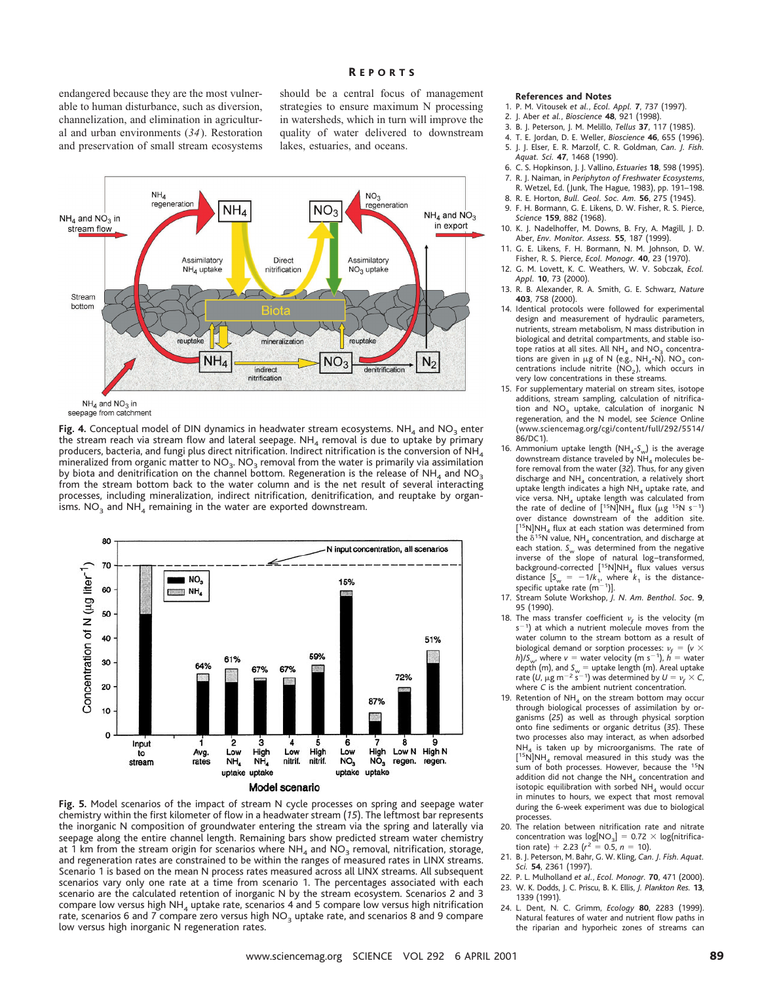## R EPORTS

endangered because they are the most vulnerable to human disturbance, such as diversion, channelization, and elimination in agricultural and urban environments (*34*). Restoration and preservation of small stream ecosystems should be a central focus of management strategies to ensure maximum N processing in watersheds, which in turn will improve the quality of water delivered to downstream lakes, estuaries, and oceans.



seepage from catchment

Fig. 4. Conceptual model of DIN dynamics in headwater stream ecosystems. NH<sub>4</sub> and NO<sub>3</sub> enter the stream reach via stream flow and lateral seepage.  $NH<sub>4</sub>$  removal is due to uptake by primary producers, bacteria, and fungi plus direct nitrification. Indirect nitrification is the conversion of NH $_A$ mineralized from organic matter to  $NO_3$ .  $NO_3$  removal from the water is primarily via assimilation by biota and denitrification on the channel bottom. Regeneration is the release of NH<sub>4</sub> and NO<sub>3</sub> from the stream bottom back to the water column and is the net result of several interacting processes, including mineralization, indirect nitrification, denitrification, and reuptake by organisms.  $NO<sub>3</sub>$  and  $NH<sub>4</sub>$  remaining in the water are exported downstream.



**Fig. 5.** Model scenarios of the impact of stream N cycle processes on spring and seepage water chemistry within the first kilometer of flow in a headwater stream (*15*). The leftmost bar represents the inorganic N composition of groundwater entering the stream via the spring and laterally via seepage along the entire channel length. Remaining bars show predicted stream water chemistry at 1 km from the stream origin for scenarios where  $NH<sub>4</sub>$  and  $NO<sub>3</sub>$  removal, nitrification, storage, and regeneration rates are constrained to be within the ranges of measured rates in LINX streams. Scenario 1 is based on the mean N process rates measured across all LINX streams. All subsequent scenarios vary only one rate at a time from scenario 1. The percentages associated with each scenario are the calculated retention of inorganic N by the stream ecosystem. Scenarios 2 and 3 compare low versus high  $NH<sub>4</sub>$  uptake rate, scenarios 4 and 5 compare low versus high nitrification rate, scenarios 6 and 7 compare zero versus high  $NO<sub>3</sub>$  uptake rate, and scenarios 8 and 9 compare low versus high inorganic N regeneration rates.

#### **References and Notes**

- 1. P. M. Vitousek *et al.*, *Ecol. Appl.* **7**, 737 (1997).
- 2. J. Aber *et al.*, *Bioscience* **48**, 921 (1998).
- 3. B. J. Peterson, J. M. Melillo, *Tellus* **37**, 117 (1985).
- 4. T. E. Jordan, D. E. Weller, *Bioscience* **46**, 655 (1996). 5. J. J. Elser, E. R. Marzolf, C. R. Goldman, *Can. J. Fish. Aquat. Sci.* **47**, 1468 (1990).
- 6. C. S. Hopkinson, J. J. Vallino, *Estuaries* **18**, 598 (1995).
- 7. R. J. Naiman, in *Periphyton of Freshwater Ecosystems*,
- R. Wetzel, Ed. (Junk, The Hague, 1983), pp. 191–198. 8. R. E. Horton, *Bull. Geol. Soc. Am.* **56**, 275 (1945).
- 9. F. H. Bormann, G. E. Likens, D. W. Fisher, R. S. Pierce, *Science* **159**, 882 (1968).
- 10. K. J. Nadelhoffer, M. Downs, B. Fry, A. Magill, J. D. Aber, *Env. Monitor. Assess.* **55**, 187 (1999).
- 11. G. E. Likens, F. H. Bormann, N. M. Johnson, D. W. Fisher, R. S. Pierce, *Ecol. Monogr.* **40**, 23 (1970).
- 12. G. M. Lovett, K. C. Weathers, W. V. Sobczak, *Ecol. Appl.* **10**, 73 (2000).
- 13. R. B. Alexander, R. A. Smith, G. E. Schwarz, *Nature* **403**, 758 (2000).
- 14. Identical protocols were followed for experimental design and measurement of hydraulic parameters, nutrients, stream metabolism, N mass distribution in biological and detrital compartments, and stable isotope ratios at all sites. All  $NH<sub>4</sub>$  and  $NO<sub>3</sub>$  concentrations are given in  $\mu$ g of N (e.g., NH<sub>4</sub>-N). NO<sub>3</sub> concentrations include nitrite  $(NO<sub>2</sub>)$ , which occurs in very low concentrations in these streams.
- 15. For supplementary material on stream sites, isotope additions, stream sampling, calculation of nitrification and  $NO<sub>3</sub>$  uptake, calculation of inorganic N regeneration, and the N model, see *Science* Online (www.sciencemag.org/cgi/content/full/292/5514/ 86/DC1).
- 16. Ammonium uptake length  $(NH_4-S_w)$  is the average downstream distance traveled by  $NH_4$  molecules before removal from the water (*32*). Thus, for any given discharge and  $NH<sub>4</sub>$  concentration, a relatively short uptake length indicates a high NH<sub>4</sub> uptake rate, and vice versa.  $NH_4$  uptake length was calculated from the rate of decline of  $[15N]NH_4$  flux ( $\mu$ g <sup>15</sup>N s<sup>-1</sup>) over distance downstream of the addition site. [<sup>15</sup>N]NH<sub>4</sub> flux at each station was determined from the  $\delta^{15}$ N value, NH<sub>4</sub> concentration, and discharge at each station. S<sub>w</sub> was determined from the negative inverse of the slope of natural log–transformed, background-corrected  $[$ <sup>15</sup>N]NH<sub>4</sub> flux values versus distance  $[S_w = -1/k_1,$  where  $k_1$  is the distance-specific uptake rate  $(m^{-1})$ ].
- 17. Stream Solute Workshop, *J. N. Am. Benthol. Soc.* **9**, 95 (1990).
- 18. The mass transfer coefficient  $v_f$  is the velocity (m  $s^{-1}$ ) at which a nutrient molecule moves from the water column to the stream bottom as a result of biological demand or sorption processes:  $v_f = (v \times v)$ *h*)/*S<sub>w</sub>*, where  $v =$  water velocity (m s<sup>-1</sup>),  $h =$  water depth (m), and  $S_w =$  uptake length (m). Areal uptake<br>rate (*U*,  $\mu$ g m<sup>-2</sup> s<sup>-1</sup>) was determined by *U* =  $v_f$  × C, where *C* is the ambient nutrient concentration.
- 19. Retention of  $NH<sub>4</sub>$  on the stream bottom may occur through biological processes of assimilation by organisms (*25*) as well as through physical sorption onto fine sediments or organic detritus (*35*). These two processes also may interact, as when adsorbed  $NH<sub>4</sub>$  is taken up by microorganisms. The rate of [<sup>15</sup>N]NH<sub>4</sub> removal measured in this study was the sum of both processes. However, because the <sup>15</sup>N addition did not change the  $NH<sub>4</sub>$  concentration and isotopic equilibration with sorbed  $NH<sub>4</sub>$  would occur in minutes to hours, we expect that most removal during the 6-week experiment was due to biological processes.
- 20. The relation between nitrification rate and nitrate concentration was  $log[NO<sub>3</sub>] = 0.72 \times log(nitrifica-1)$ tion rate) + 2.23 ( $r^2 = 0.\overline{5}$ ,  $n = 10$ ).
- 21. B. J. Peterson, M. Bahr, G. W. Kling, *Can. J. Fish. Aquat. Sci.* **54**, 2361 (1997).
- 22. P. L. Mulholland *et al.*, *Ecol. Monogr.* **70**, 471 (2000). 23. W. K. Dodds, J. C. Priscu, B. K. Ellis, *J. Plankton Res.* **13**,
- 1339 (1991).
- 24. L. Dent, N. C. Grimm, *Ecology* **80**, 2283 (1999). Natural features of water and nutrient flow paths in the riparian and hyporheic zones of streams can